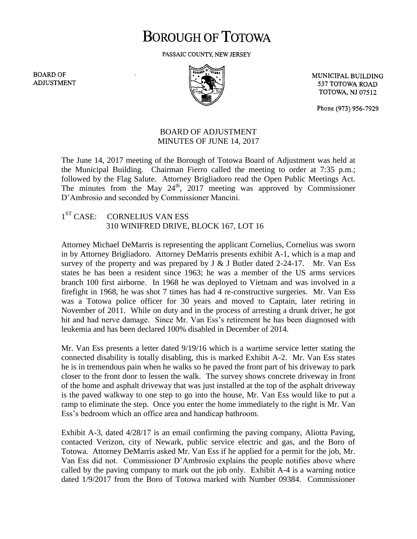## **BOROUGH OF TOTOWA**

PASSAIC COUNTY, NEW JERSEY

**BOARD OF ADJUSTMENT** 



MUNICIPAL BUILDING 537 TOTOWA ROAD **TOTOWA, NJ 07512** 

Phone (973) 956-7929

## BOARD OF ADJUSTMENT MINUTES OF JUNE 14, 2017

The June 14, 2017 meeting of the Borough of Totowa Board of Adjustment was held at the Municipal Building. Chairman Fierro called the meeting to order at 7:35 p.m.; followed by the Flag Salute. Attorney Brigliadoro read the Open Public Meetings Act. The minutes from the May  $24<sup>th</sup>$ , 2017 meeting was approved by Commissioner D'Ambrosio and seconded by Commissioner Mancini.

## $1<sup>ST</sup> CASE:$ CORNELIUS VAN ESS 310 WINIFRED DRIVE, BLOCK 167, LOT 16

Attorney Michael DeMarris is representing the applicant Cornelius, Cornelius was sworn in by Attorney Brigliadoro. Attorney DeMarris presents exhibit A-1, which is a map and survey of the property and was prepared by  $J \& J$  Butler dated 2-24-17. Mr. Van Ess states he has been a resident since 1963; he was a member of the US arms services branch 100 first airborne. In 1968 he was deployed to Vietnam and was involved in a firefight in 1968, he was shot 7 times has had 4 re-constructive surgeries. Mr. Van Ess was a Totowa police officer for 30 years and moved to Captain, later retiring in November of 2011. While on duty and in the process of arresting a drunk driver, he got hit and had nerve damage. Since Mr. Van Ess's retirement he has been diagnosed with leukemia and has been declared 100% disabled in December of 2014.

Mr. Van Ess presents a letter dated 9/19/16 which is a wartime service letter stating the connected disability is totally disabling, this is marked Exhibit A-2. Mr. Van Ess states he is in tremendous pain when he walks so he paved the front part of his driveway to park closer to the front door to lessen the walk. The survey shows concrete driveway in front of the home and asphalt driveway that was just installed at the top of the asphalt driveway is the paved walkway to one step to go into the house, Mr. Van Ess would like to put a ramp to eliminate the step. Once you enter the home immediately to the right is Mr. Van Ess's bedroom which an office area and handicap bathroom.

Exhibit A-3, dated 4/28/17 is an email confirming the paving company, Aliotta Paving, contacted Verizon, city of Newark, public service electric and gas, and the Boro of Totowa. Attorney DeMarris asked Mr. Van Ess if he applied for a permit for the job, Mr. Van Ess did not. Commissioner D'Ambrosio explains the people notifies above where called by the paving company to mark out the job only. Exhibit A-4 is a warning notice dated 1/9/2017 from the Boro of Totowa marked with Number 09384. Commissioner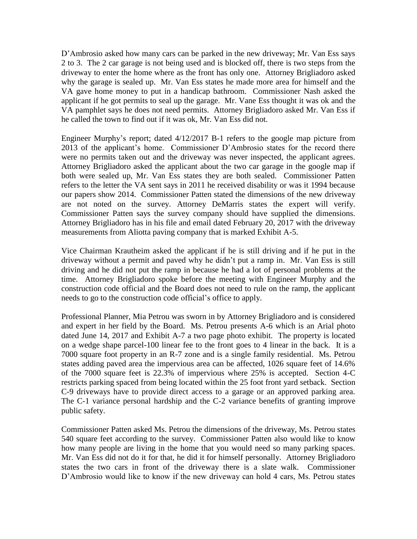D'Ambrosio asked how many cars can be parked in the new driveway; Mr. Van Ess says 2 to 3. The 2 car garage is not being used and is blocked off, there is two steps from the driveway to enter the home where as the front has only one. Attorney Brigliadoro asked why the garage is sealed up. Mr. Van Ess states he made more area for himself and the VA gave home money to put in a handicap bathroom. Commissioner Nash asked the applicant if he got permits to seal up the garage. Mr. Vane Ess thought it was ok and the VA pamphlet says he does not need permits. Attorney Brigliadoro asked Mr. Van Ess if he called the town to find out if it was ok, Mr. Van Ess did not.

Engineer Murphy's report; dated 4/12/2017 B-1 refers to the google map picture from 2013 of the applicant's home. Commissioner D'Ambrosio states for the record there were no permits taken out and the driveway was never inspected, the applicant agrees. Attorney Brigliadoro asked the applicant about the two car garage in the google map if both were sealed up, Mr. Van Ess states they are both sealed. Commissioner Patten refers to the letter the VA sent says in 2011 he received disability or was it 1994 because our papers show 2014. Commissioner Patten stated the dimensions of the new driveway are not noted on the survey. Attorney DeMarris states the expert will verify. Commissioner Patten says the survey company should have supplied the dimensions. Attorney Brigliadoro has in his file and email dated February 20, 2017 with the driveway measurements from Aliotta paving company that is marked Exhibit A-5.

Vice Chairman Krautheim asked the applicant if he is still driving and if he put in the driveway without a permit and paved why he didn't put a ramp in. Mr. Van Ess is still driving and he did not put the ramp in because he had a lot of personal problems at the time. Attorney Brigliadoro spoke before the meeting with Engineer Murphy and the construction code official and the Board does not need to rule on the ramp, the applicant needs to go to the construction code official's office to apply.

Professional Planner, Mia Petrou was sworn in by Attorney Brigliadoro and is considered and expert in her field by the Board. Ms. Petrou presents A-6 which is an Arial photo dated June 14, 2017 and Exhibit A-7 a two page photo exhibit. The property is located on a wedge shape parcel-100 linear fee to the front goes to 4 linear in the back. It is a 7000 square foot property in an R-7 zone and is a single family residential. Ms. Petrou states adding paved area the impervious area can be affected, 1026 square feet of 14.6% of the 7000 square feet is 22.3% of impervious where 25% is accepted. Section 4-C restricts parking spaced from being located within the 25 foot front yard setback. Section C-9 driveways have to provide direct access to a garage or an approved parking area. The C-1 variance personal hardship and the C-2 variance benefits of granting improve public safety.

Commissioner Patten asked Ms. Petrou the dimensions of the driveway, Ms. Petrou states 540 square feet according to the survey. Commissioner Patten also would like to know how many people are living in the home that you would need so many parking spaces. Mr. Van Ess did not do it for that, he did it for himself personally. Attorney Brigliadoro states the two cars in front of the driveway there is a slate walk. Commissioner D'Ambrosio would like to know if the new driveway can hold 4 cars, Ms. Petrou states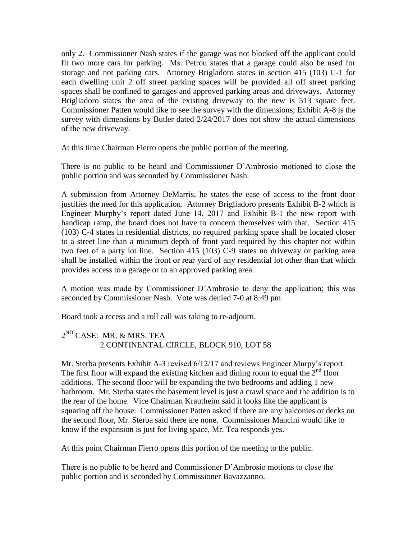only 2. Commissioner Nash states if the garage was not blocked off the applicant could fit two more cars for parking. Ms. Petrou states that a garage could also be used for storage and not parking cars. Attorney Brigladoro states in section 415 (103) C-1 for each dwelling unit 2 off street parking spaces will be provided all off street parking spaces shall be confined to garages and approved parking areas and driveways. Attorney Brigliadoro states the area of the existing driveway to the new is 513 square feet. Commissioner Patten would like to see the survey with the dimensions; Exhibit A-8 is the survey with dimensions by Butler dated 2/24/2017 does not show the actual dimensions of the new driveway.

At this time Chairman Fierro opens the public portion of the meeting.

There is no public to be heard and Commissioner D'Ambrosio motioned to close the public portion and was seconded by Commissioner Nash.

A submission from Attorney DeMarris, he states the ease of access to the front door justifies the need for this application. Attorney Brigliadoro presents Exhibit B-2 which is Engineer Murphy's report dated June 14, 2017 and Exhibit B-1 the new report with handicap ramp, the board does not have to concern themselves with that. Section 415 (103) C-4 states in residential districts, no required parking space shall be located closer to a street line than a minimum depth of front yard required by this chapter not within two feet of a party lot line. Section 415 (103) C-9 states no driveway or parking area shall be installed within the front or rear yard of any residential lot other than that which provides access to a garage or to an approved parking area.

A motion was made by Commissioner D'Ambrosio to deny the application; this was seconded by Commissioner Nash. Vote was denied 7-0 at 8:49 pm

Board took a recess and a roll call was taking to re-adjourn.

## $2^{\text{ND}}$  CASE: MR. & MRS. TEA 2 CONTINENTAL CIRCLE, BLOCK 910, LOT 58

Mr. Sterba presents Exhibit A-3 revised 6/12/17 and reviews Engineer Murpy's report. The first floor will expand the existing kitchen and dining room to equal the  $2<sup>nd</sup>$  floor additions. The second floor will be expanding the two bedrooms and adding 1 new bathroom. Mr. Sterba states the basement level is just a crawl space and the addition is to the rear of the home. Vice Chairman Krautheim said it looks like the applicant is squaring off the house. Commissioner Patten asked if there are any balconies or decks on the second floor, Mr. Sterba said there are none. Commissioner Mancini would like to know if the expansion is just for living space, Mr. Tea responds yes.

At this point Chairman Fierro opens this portion of the meeting to the public.

There is no public to be heard and Commissioner D'Ambrosio motions to close the public portion and is seconded by Commissioner Bavazzanno.